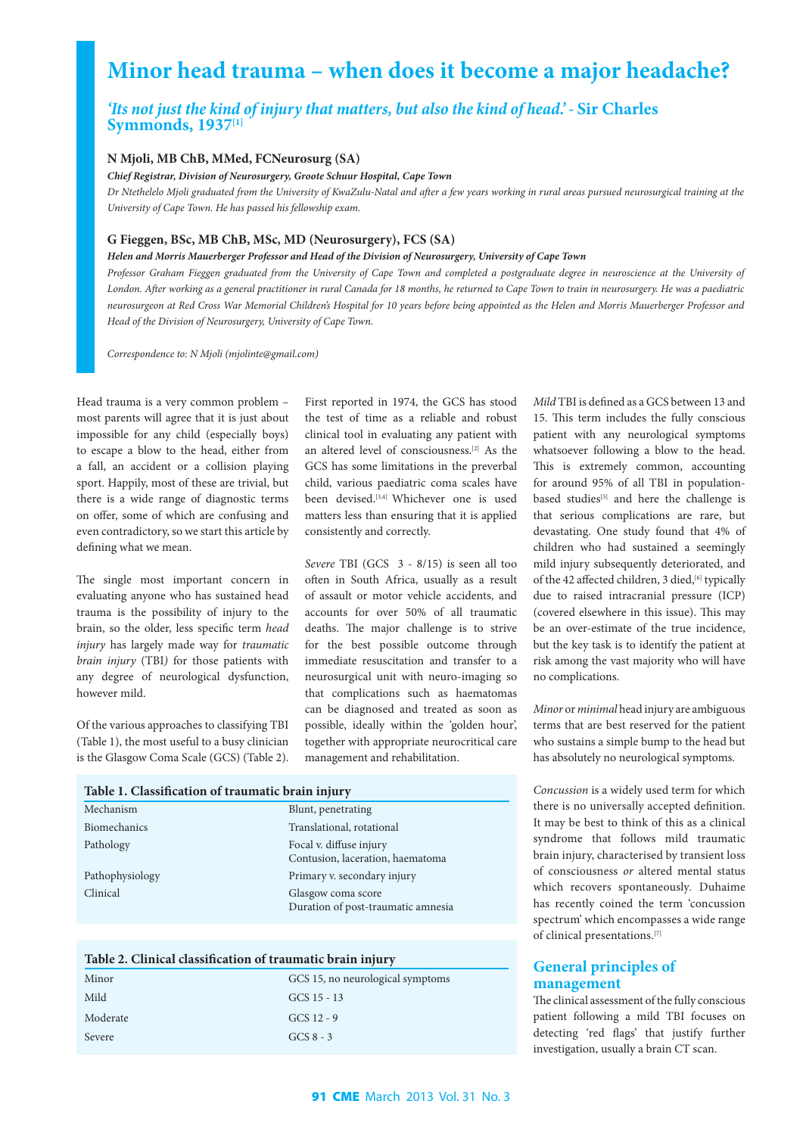# **Minor head trauma – when does it become a major headache?**

# *'Its not just the kind of injury that matters, but also the kind of head.' -* **Sir Charles Symmonds, 1937[1]**

#### **N Mjoli, MB ChB, MMed, FCNeurosurg (SA)**

*Chief Registrar, Division of Neurosurgery, Groote Schuur Hospital, Cape Town*

*Dr Ntethelelo Mjoli graduated from the University of KwaZulu-Natal and after a few years working in rural areas pursued neurosurgical training at the University of Cape Town. He has passed his fellowship exam.*

# **G Fieggen, BSc, MB ChB, MSc***,* **MD (Neurosurgery), FCS (SA)**

*Helen and Morris Mauerberger Professor and Head of the Division of Neurosurgery, University of Cape Town*

Professor Graham Fieggen graduated from the University of Cape Town and completed a postgraduate degree in neuroscience at the University of *London. After working as a general practitioner in rural Canada for 18 months, he returned to Cape Town to train in neurosurgery. He was a paediatric neurosurgeon at Red Cross War Memorial Children's Hospital for 10 years before being appointed as the Helen and Morris Mauerberger Professor and Head of the Division of Neurosurgery, University of Cape Town.*

*Correspondence to: N Mjoli ([mjolinte@gmail.com\)](mailto:mjolinte@gmail.com)*

Head trauma is a very common problem – most parents will agree that it is just about impossible for any child (especially boys) to escape a blow to the head, either from a fall, an accident or a collision playing sport. Happily, most of these are trivial, but there is a wide range of diagnostic terms on offer, some of which are confusing and even contradictory, so we start this article by defining what we mean.

The single most important concern in evaluating anyone who has sustained head trauma is the possibility of injury to the brain, so the older, less specific term *head injury* has largely made way for *traumatic brain injury* (TBI*)* for those patients with any degree of neurological dysfunction, however mild.

Of the various approaches to classifying TBI (Table 1), the most useful to a busy clinician is the Glasgow Coma Scale (GCS) (Table 2).

First reported in 1974, the GCS has stood the test of time as a reliable and robust clinical tool in evaluating any patient with an altered level of consciousness.[2] As the GCS has some limitations in the preverbal child, various paediatric coma scales have been devised.<sup>[3,4]</sup> Whichever one is used matters less than ensuring that it is applied consistently and correctly.

*Severe* TBI (GCS 3 - 8/15) is seen all too often in South Africa, usually as a result of assault or motor vehicle accidents, and accounts for over 50% of all traumatic deaths. The major challenge is to strive for the best possible outcome through immediate resuscitation and transfer to a neurosurgical unit with neuro-imaging so that complications such as haematomas can be diagnosed and treated as soon as possible, ideally within the 'golden hour', together with appropriate neurocritical care management and rehabilitation.

| Table 1. Classification of traumatic brain injury |                                                             |  |
|---------------------------------------------------|-------------------------------------------------------------|--|
| Mechanism                                         | Blunt, penetrating                                          |  |
| <b>Biomechanics</b>                               | Translational, rotational                                   |  |
| Pathology                                         | Focal v. diffuse injury<br>Contusion, laceration, haematoma |  |
| Pathophysiology                                   | Primary v. secondary injury                                 |  |
| Clinical                                          | Glasgow coma score<br>Duration of post-traumatic amnesia    |  |

| Table 2. Chincal classification of traumatic brain mility |                                  |
|-----------------------------------------------------------|----------------------------------|
| Minor                                                     | GCS 15, no neurological symptoms |
| Mild                                                      | $GCS$ 15 - 13                    |

**Table 2. Clinical classification of traumatic brain injury**

Moderate GCS 12 - 9 Severe GCS 8 - 3

*Mild* TBI is defined as a GCS between 13 and 15. This term includes the fully conscious patient with any neurological symptoms whatsoever following a blow to the head. This is extremely common, accounting for around 95% of all TBI in populationbased studies<sup>[5]</sup> and here the challenge is that serious complications are rare, but devastating. One study found that 4% of children who had sustained a seemingly mild injury subsequently deteriorated, and of the 42 affected children, 3 died, [6] typically due to raised intracranial pressure (ICP) (covered elsewhere in this issue). This may be an over-estimate of the true incidence, but the key task is to identify the patient at risk among the vast majority who will have no complications.

*Minor* or *minimal* head injury are ambiguous terms that are best reserved for the patient who sustains a simple bump to the head but has absolutely no neurological symptoms.

*Concussion* is a widely used term for which there is no universally accepted definition. It may be best to think of this as a clinical syndrome that follows mild traumatic brain injury, characterised by transient loss of consciousness *or* altered mental status which recovers spontaneously*.* Duhaime has recently coined the term 'concussion spectrum' which encompasses a wide range of clinical presentations.[7]

# **General principles of management**

The clinical assessment of the fully conscious patient following a mild TBI focuses on detecting 'red flags' that justify further investigation, usually a brain CT scan.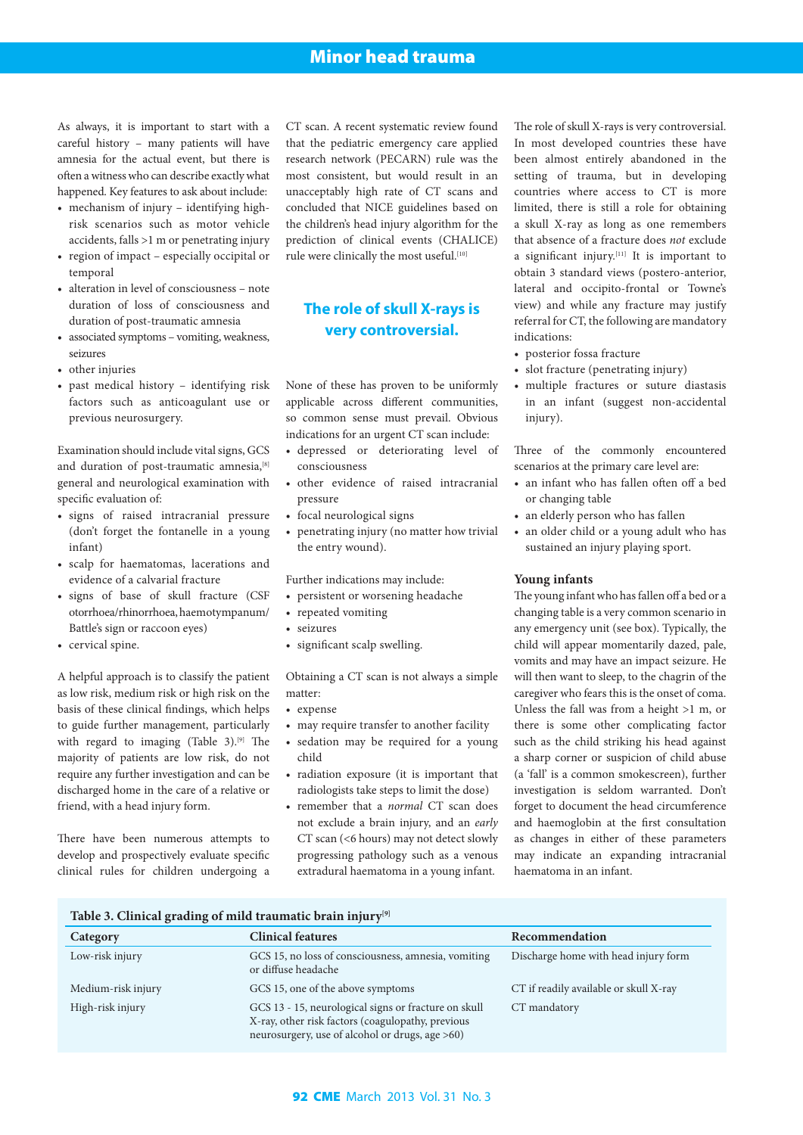As always, it is important to start with a careful history – many patients will have amnesia for the actual event, but there is often a witness who can describe exactly what happened. Key features to ask about include:

- mechanism of injury identifying highrisk scenarios such as motor vehicle accidents, falls >1 m or penetrating injury
- region of impact especially occipital or temporal
- alteration in level of consciousness note duration of loss of consciousness and duration of post-traumatic amnesia
- associated symptoms vomiting, weakness, seizures
- other injuries
- past medical history identifying risk factors such as anticoagulant use or previous neurosurgery.

Examination should include vital signs, GCS and duration of post-traumatic amnesia, [8] general and neurological examination with specific evaluation of:

- signs of raised intracranial pressure (don't forget the fontanelle in a young infant)
- scalp for haematomas, lacerations and evidence of a calvarial fracture
- signs of base of skull fracture (CSF otorrhoea/rhinorrhoea, haemotympanum/ Battle's sign or raccoon eyes)
- cervical spine.

A helpful approach is to classify the patient as low risk, medium risk or high risk on the basis of these clinical findings, which helps to guide further management, particularly with regard to imaging (Table 3).<sup>[9]</sup> The majority of patients are low risk, do not require any further investigation and can be discharged home in the care of a relative or friend, with a head injury form.

There have been numerous attempts to develop and prospectively evaluate specific clinical rules for children undergoing a CT scan. A recent systematic review found that the pediatric emergency care applied research network (PECARN) rule was the most consistent, but would result in an unacceptably high rate of CT scans and concluded that NICE guidelines based on the children's head injury algorithm for the prediction of clinical events (CHALICE) rule were clinically the most useful.[10]

# **The role of skull X-rays is very controversial.**

None of these has proven to be uniformly applicable across different communities, so common sense must prevail. Obvious indications for an urgent CT scan include:

- depressed or deteriorating level of consciousness
- other evidence of raised intracranial pressure
- focal neurological signs
- penetrating injury (no matter how trivial the entry wound).

Further indications may include:

- persistent or worsening headache
- repeated vomiting
- seizures
- significant scalp swelling.

Obtaining a CT scan is not always a simple matter:

- expense
- may require transfer to another facility
- sedation may be required for a young child
- radiation exposure (it is important that radiologists take steps to limit the dose)
- remember that a *normal* CT scan does not exclude a brain injury, and an *early* CT scan (<6 hours) may not detect slowly progressing pathology such as a venous extradural haematoma in a young infant.

The role of skull X-rays is very controversial. In most developed countries these have been almost entirely abandoned in the setting of trauma, but in developing countries where access to CT is more limited, there is still a role for obtaining a skull X-ray as long as one remembers that absence of a fracture does *not* exclude a significant injury.[11] It is important to obtain 3 standard views (postero-anterior, lateral and occipito-frontal or Towne's view) and while any fracture may justify referral for CT, the following are mandatory indications:

- posterior fossa fracture
- slot fracture (penetrating injury)
- multiple fractures or suture diastasis in an infant (suggest non-accidental injury).

Three of the commonly encountered scenarios at the primary care level are:

- an infant who has fallen often off a bed or changing table
- an elderly person who has fallen
- an older child or a young adult who has sustained an injury playing sport.

#### **Young infants**

The young infant who has fallen off a bed or a changing table is a very common scenario in any emergency unit (see box). Typically, the child will appear momentarily dazed, pale, vomits and may have an impact seizure. He will then want to sleep, to the chagrin of the caregiver who fears this is the onset of coma. Unless the fall was from a height >1 m, or there is some other complicating factor such as the child striking his head against a sharp corner or suspicion of child abuse (a 'fall' is a common smokescreen), further investigation is seldom warranted. Don't forget to document the head circumference and haemoglobin at the first consultation as changes in either of these parameters may indicate an expanding intracranial haematoma in an infant.

# **Table 3. Clinical grading of mild traumatic brain injury[9]**

| Category           | <b>Clinical features</b>                                                                                                                                        | Recommendation                         |
|--------------------|-----------------------------------------------------------------------------------------------------------------------------------------------------------------|----------------------------------------|
| Low-risk injury    | GCS 15, no loss of consciousness, amnesia, vomiting<br>or diffuse headache                                                                                      | Discharge home with head injury form   |
| Medium-risk injury | GCS 15, one of the above symptoms                                                                                                                               | CT if readily available or skull X-ray |
| High-risk injury   | GCS 13 - 15, neurological signs or fracture on skull<br>X-ray, other risk factors (coagulopathy, previous<br>neurosurgery, use of alcohol or drugs, age $>60$ ) | CT mandatory                           |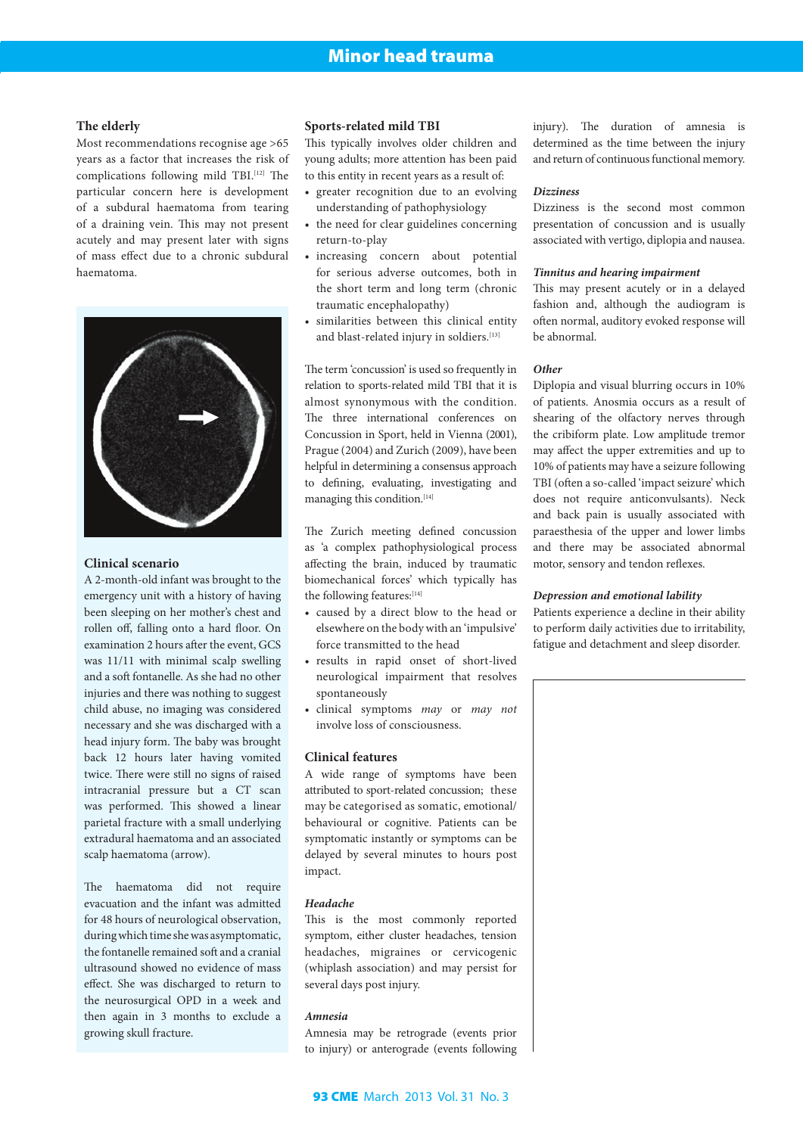## **The elderly**

Most recommendations recognise age >65 years as a factor that increases the risk of complications following mild TBI.[12] The particular concern here is development of a subdural haematoma from tearing of a draining vein. This may not present acutely and may present later with signs of mass effect due to a chronic subdural haematoma.



#### **Clinical scenario**

A 2-month-old infant was brought to the emergency unit with a history of having been sleeping on her mother's chest and rollen off, falling onto a hard floor. On examination 2 hours after the event, GCS was 11/11 with minimal scalp swelling and a soft fontanelle. As she had no other injuries and there was nothing to suggest child abuse, no imaging was considered necessary and she was discharged with a head injury form. The baby was brought back 12 hours later having vomited twice. There were still no signs of raised intracranial pressure but a CT scan was performed. This showed a linear parietal fracture with a small underlying extradural haematoma and an associated scalp haematoma (arrow).

The haematoma did not require evacuation and the infant was admitted for 48 hours of neurological observation, during which time she was asymptomatic, the fontanelle remained soft and a cranial ultrasound showed no evidence of mass effect. She was discharged to return to the neurosurgical OPD in a week and then again in 3 months to exclude a growing skull fracture.

#### **Sports-related mild TBI**

This typically involves older children and young adults; more attention has been paid to this entity in recent years as a result of:

- greater recognition due to an evolving understanding of pathophysiology
- the need for clear guidelines concerning return-to-play
- increasing concern about potential for serious adverse outcomes, both in the short term and long term (chronic traumatic encephalopathy)
- similarities between this clinical entity and blast-related injury in soldiers.<sup>[13]</sup>

The term 'concussion' is used so frequently in relation to sports-related mild TBI that it is almost synonymous with the condition. The three international conferences on Concussion in Sport, held in Vienna (2001), Prague (2004) and Zurich (2009), have been helpful in determining a consensus approach to defining, evaluating, investigating and managing this condition.<sup>[14]</sup>

The Zurich meeting defined concussion as 'a complex pathophysiological process affecting the brain, induced by traumatic biomechanical forces' which typically has the following features:[14]

- caused by a direct blow to the head or elsewhere on the body with an 'impulsive' force transmitted to the head
- results in rapid onset of short-lived neurological impairment that resolves spontaneously
- clinical symptoms *may* or *may not* involve loss of consciousness.

### **Clinical features**

A wide range of symptoms have been attributed to sport-related concussion; these may be categorised as somatic, emotional/ behavioural or cognitive. Patients can be symptomatic instantly or symptoms can be delayed by several minutes to hours post impact.

#### *Headache*

This is the most commonly reported symptom, either cluster headaches, tension headaches, migraines or cervicogenic (whiplash association) and may persist for several days post injury.

#### *Amnesia*

Amnesia may be retrograde (events prior to injury) or anterograde (events following injury). The duration of amnesia is determined as the time between the injury and return of continuous functional memory.

#### *Dizziness*

Dizziness is the second most common presentation of concussion and is usually associated with vertigo, diplopia and nausea.

#### *Tinnitus and hearing impairment*

This may present acutely or in a delayed fashion and, although the audiogram is often normal, auditory evoked response will be abnormal.

#### *Other*

Diplopia and visual blurring occurs in 10% of patients. Anosmia occurs as a result of shearing of the olfactory nerves through the cribiform plate. Low amplitude tremor may affect the upper extremities and up to 10% of patients may have a seizure following TBI (often a so-called 'impact seizure' which does not require anticonvulsants). Neck and back pain is usually associated with paraesthesia of the upper and lower limbs and there may be associated abnormal motor, sensory and tendon reflexes.

#### *Depression and emotional lability*

Patients experience a decline in their ability to perform daily activities due to irritability, fatigue and detachment and sleep disorder.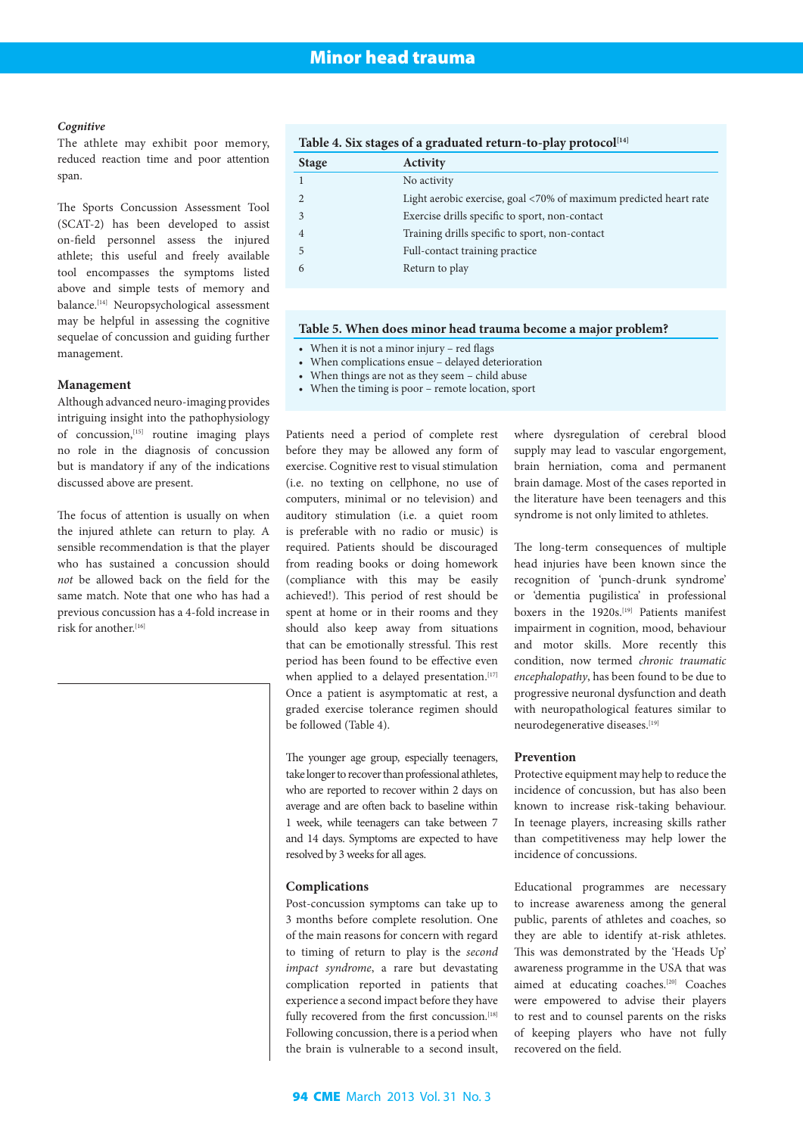#### *Cognitive*

The athlete may exhibit poor memory, reduced reaction time and poor attention span.

The Sports Concussion Assessment Tool (SCAT-2) has been developed to assist on-field personnel assess the injured athlete; this useful and freely available tool encompasses the symptoms listed above and simple tests of memory and balance.<sup>[14]</sup> Neuropsychological assessment may be helpful in assessing the cognitive sequelae of concussion and guiding further management.

#### **Management**

Although advanced neuro-imaging provides intriguing insight into the pathophysiology of concussion, <a>[15]</a> routine imaging plays no role in the diagnosis of concussion but is mandatory if any of the indications discussed above are present.

The focus of attention is usually on when the injured athlete can return to play. A sensible recommendation is that the player who has sustained a concussion should *not* be allowed back on the field for the same match. Note that one who has had a previous concussion has a 4-fold increase in risk for another.[16]

#### Table 4. Six stages of a graduated return-to-play protocol<sup>[14]</sup>

| <b>Stage</b>   | Activity                                                          |
|----------------|-------------------------------------------------------------------|
|                | No activity                                                       |
| 2              | Light aerobic exercise, goal <70% of maximum predicted heart rate |
| 3              | Exercise drills specific to sport, non-contact                    |
| $\overline{4}$ | Training drills specific to sport, non-contact                    |
| 5              | Full-contact training practice                                    |
| 6              | Return to play                                                    |
|                |                                                                   |

#### **Table 5. When does minor head trauma become a major problem?**

- When it is not a minor injury red flags
- When complications ensue delayed deterioration
- When things are not as they seem child abuse
- When the timing is poor remote location, sport

Patients need a period of complete rest before they may be allowed any form of exercise. Cognitive rest to visual stimulation (i.e. no texting on cellphone, no use of computers, minimal or no television) and auditory stimulation (i.e. a quiet room is preferable with no radio or music) is required. Patients should be discouraged from reading books or doing homework (compliance with this may be easily achieved!). This period of rest should be spent at home or in their rooms and they should also keep away from situations that can be emotionally stressful. This rest period has been found to be effective even when applied to a delayed presentation.<sup>[17]</sup> Once a patient is asymptomatic at rest, a graded exercise tolerance regimen should be followed (Table 4).

The younger age group, especially teenagers, take longer to recover than professional athletes, who are reported to recover within 2 days on average and are often back to baseline within 1 week, while teenagers can take between 7 and 14 days. Symptoms are expected to have resolved by 3 weeks for all ages.

#### **Complications**

Post-concussion symptoms can take up to 3 months before complete resolution. One of the main reasons for concern with regard to timing of return to play is the *second impact syndrome*, a rare but devastating complication reported in patients that experience a second impact before they have fully recovered from the first concussion.<sup>[18]</sup> Following concussion, there is a period when the brain is vulnerable to a second insult,

where dysregulation of cerebral blood supply may lead to vascular engorgement, brain herniation, coma and permanent brain damage. Most of the cases reported in the literature have been teenagers and this syndrome is not only limited to athletes.

The long-term consequences of multiple head injuries have been known since the recognition of 'punch-drunk syndrome' or 'dementia pugilistica' in professional boxers in the 1920s.<sup>[19]</sup> Patients manifest impairment in cognition, mood, behaviour and motor skills. More recently this condition, now termed *chronic traumatic encephalopathy*, has been found to be due to progressive neuronal dysfunction and death with neuropathological features similar to neurodegenerative diseases.[19]

# **Prevention**

Protective equipment may help to reduce the incidence of concussion, but has also been known to increase risk-taking behaviour. In teenage players, increasing skills rather than competitiveness may help lower the incidence of concussions.

Educational programmes are necessary to increase awareness among the general public, parents of athletes and coaches, so they are able to identify at-risk athletes. This was demonstrated by the 'Heads Up' awareness programme in the USA that was aimed at educating coaches.[20] Coaches were empowered to advise their players to rest and to counsel parents on the risks of keeping players who have not fully recovered on the field.